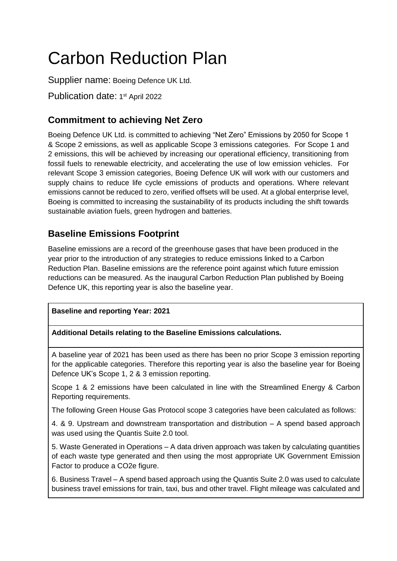# Carbon Reduction Plan

Supplier name: Boeing Defence UK Ltd.

Publication date: 1<sup>st</sup> April 2022

# **Commitment to achieving Net Zero**

Boeing Defence UK Ltd. is committed to achieving "Net Zero" Emissions by 2050 for Scope 1 & Scope 2 emissions, as well as applicable Scope 3 emissions categories. For Scope 1 and 2 emissions, this will be achieved by increasing our operational efficiency, transitioning from fossil fuels to renewable electricity, and accelerating the use of low emission vehicles. For relevant Scope 3 emission categories, Boeing Defence UK will work with our customers and supply chains to reduce life cycle emissions of products and operations. Where relevant emissions cannot be reduced to zero, verified offsets will be used. At a global enterprise level, Boeing is committed to increasing the sustainability of its products including the shift towards sustainable aviation fuels, green hydrogen and batteries.

# **Baseline Emissions Footprint**

Baseline emissions are a record of the greenhouse gases that have been produced in the year prior to the introduction of any strategies to reduce emissions linked to a Carbon Reduction Plan. Baseline emissions are the reference point against which future emission reductions can be measured. As the inaugural Carbon Reduction Plan published by Boeing Defence UK, this reporting year is also the baseline year.

## **Baseline and reporting Year: 2021**

#### **Additional Details relating to the Baseline Emissions calculations.**

A baseline year of 2021 has been used as there has been no prior Scope 3 emission reporting for the applicable categories. Therefore this reporting year is also the baseline year for Boeing Defence UK's Scope 1, 2 & 3 emission reporting.

Scope 1 & 2 emissions have been calculated in line with the Streamlined Energy & Carbon Reporting requirements.

The following Green House Gas Protocol scope 3 categories have been calculated as follows:

4. & 9. Upstream and downstream transportation and distribution – A spend based approach was used using the Quantis Suite 2.0 tool.

5. Waste Generated in Operations – A data driven approach was taken by calculating quantities of each waste type generated and then using the most appropriate UK Government Emission Factor to produce a CO2e figure.

6. Business Travel – A spend based approach using the Quantis Suite 2.0 was used to calculate business travel emissions for train, taxi, bus and other travel. Flight mileage was calculated and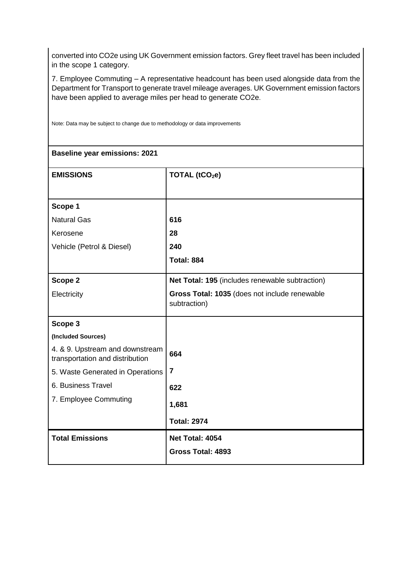converted into CO2e using UK Government emission factors. Grey fleet travel has been included in the scope 1 category.

7. Employee Commuting – A representative headcount has been used alongside data from the Department for Transport to generate travel mileage averages. UK Government emission factors have been applied to average miles per head to generate CO2e.

**Baseline year emissions: 2021 EMISSIONS TOTAL (tCO2e) Scope 1** Natural Gas Kerosene Vehicle (Petrol & Diesel) **616 28 240 Total: 884 Scope 2 Electricity Net Total: 195** (includes renewable subtraction) **Gross Total: 1035** (does not include renewable subtraction) **Scope 3 (Included Sources)** 4. & 9. Upstream and downstream transportation and distribution 5. Waste Generated in Operations 6. Business Travel 7. Employee Commuting **664 7 622 1,681 Total: 2974 Total Emissions Net Total: 4054 Gross Total: 4893**

Note: Data may be subject to change due to methodology or data improvements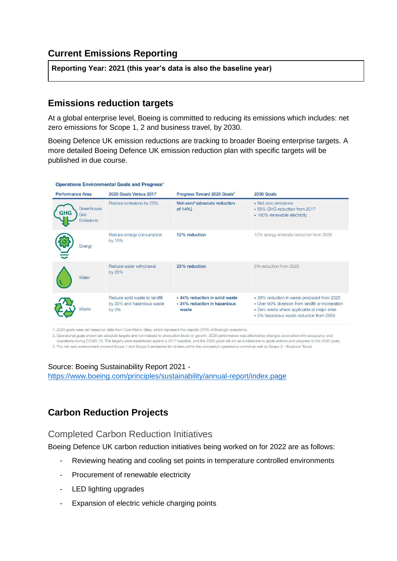# **Current Emissions Reporting**

**Reporting Year: 2021 (this year's data is also the baseline year)**

## **Emissions reduction targets**

At a global enterprise level, Boeing is committed to reducing its emissions which includes: net zero emissions for Scope 1, 2 and business travel, by 2030.

Boeing Defence UK emission reductions are tracking to broader Boeing enterprise targets. A more detailed Boeing Defence UK emission reduction plan with specific targets will be published in due course.

| <b>Performance Area</b>                             | 2025 Goals Versus 2017                                                | Progress Toward 2025 Goals <sup>2</sup>                                 | 2030 Goals                                                                                                                                                                                    |
|-----------------------------------------------------|-----------------------------------------------------------------------|-------------------------------------------------------------------------|-----------------------------------------------------------------------------------------------------------------------------------------------------------------------------------------------|
| Greenhouse<br><b>GHG</b><br>Gas<br><b>Emissions</b> | Reduce emissions by 25%                                               | Net-zero <sup>3</sup> (absolute reduction<br>of $14%$                   | • Net-zero emissions<br>• 55% GHG reduction from 2017<br>• 100% renewable electricity                                                                                                         |
| Energy                                              | Reduce energy consumption<br>by 10%                                   | 12% reduction                                                           | 10% energy-intensity reduction from 2025                                                                                                                                                      |
| Water                                               | Reduce water withdrawal<br>by 20%                                     | 23% reduction                                                           | 5% reduction from 2025                                                                                                                                                                        |
| <b>Naste</b>                                        | Reduce solid waste to landfill<br>by 20% and hazardous waste<br>by 5% | • 44% reduction in solid waste<br>• 34% reduction in hazardous<br>waste | • 30% reduction in waste produced from 2025<br>• Over 90% diversion from landfill or incineration<br>· Zero waste where applicable at major sites<br>• 5% hazardous waste reduction from 2025 |

1. 2025 goals were set based on data from Core Metric Sites, which represent the majority (70%) of Boeing's operations.

2. Operational goals shown are absolute targets and not indexed to production levels or growth. 2020 performance was affected by changes associated with occupancy and operations during COVID-19. The targets were established against a 2017 baseline, and the 2025 goals will act as a milestone to quide actions and progress to the 2030 goals.

3. The net-zero achievement covered Scope 1 and Scope 2 emissions for all sites within the company's operational control as well as Scope 3 - Business Travel.

Source: Boeing Sustainability Report 2021 <https://www.boeing.com/principles/sustainability/annual-report/index.page>

## **Carbon Reduction Projects**

## Completed Carbon Reduction Initiatives

Boeing Defence UK carbon reduction initiatives being worked on for 2022 are as follows:

- Reviewing heating and cooling set points in temperature controlled environments
- Procurement of renewable electricity
- LED lighting upgrades
- Expansion of electric vehicle charging points